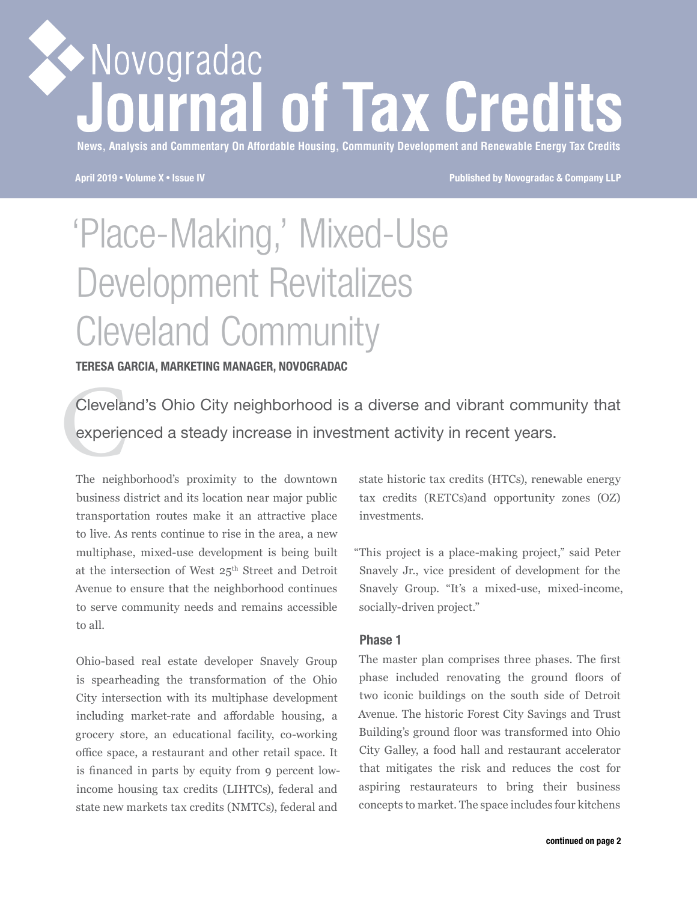# Novogradac **irnal of Tax Credits**

**News, Analysis and Commentary On Affordable Housing, Community Development and Renewable Energy Tax Credits**

**April 2019** • **Volume X** • **Issue IV Published by Novogradac & Company LLP**

## 'Place-Making,' Mixed-Use Development Revitalizes Cleveland Community

**TERESA GARCIA, MARKETING MANAGER, NOVOGRADAC**

Clevela<br>experie<br>The neigh Cleveland's Ohio City neighborhood is a diverse and vibrant community that experienced a steady increase in investment activity in recent years.

The neighborhood's proximity to the downtown business district and its location near major public transportation routes make it an attractive place to live. As rents continue to rise in the area, a new multiphase, mixed-use development is being built at the intersection of West 25<sup>th</sup> Street and Detroit Avenue to ensure that the neighborhood continues to serve community needs and remains accessible to all.

Ohio-based real estate developer Snavely Group is spearheading the transformation of the Ohio City intersection with its multiphase development including market-rate and affordable housing, a grocery store, an educational facility, co-working office space, a restaurant and other retail space. It is financed in parts by equity from 9 percent lowincome housing tax credits (LIHTCs), federal and state new markets tax credits (NMTCs), federal and

state historic tax credits (HTCs), renewable energy tax credits (RETCs)and opportunity zones (OZ) investments.

"This project is a place-making project," said Peter Snavely Jr., vice president of development for the Snavely Group. "It's a mixed-use, mixed-income, socially-driven project."

## **Phase 1**

The master plan comprises three phases. The first phase included renovating the ground floors of two iconic buildings on the south side of Detroit Avenue. The historic Forest City Savings and Trust Building's ground floor was transformed into Ohio City Galley, a food hall and restaurant accelerator that mitigates the risk and reduces the cost for aspiring restaurateurs to bring their business concepts to market. The space includes four kitchens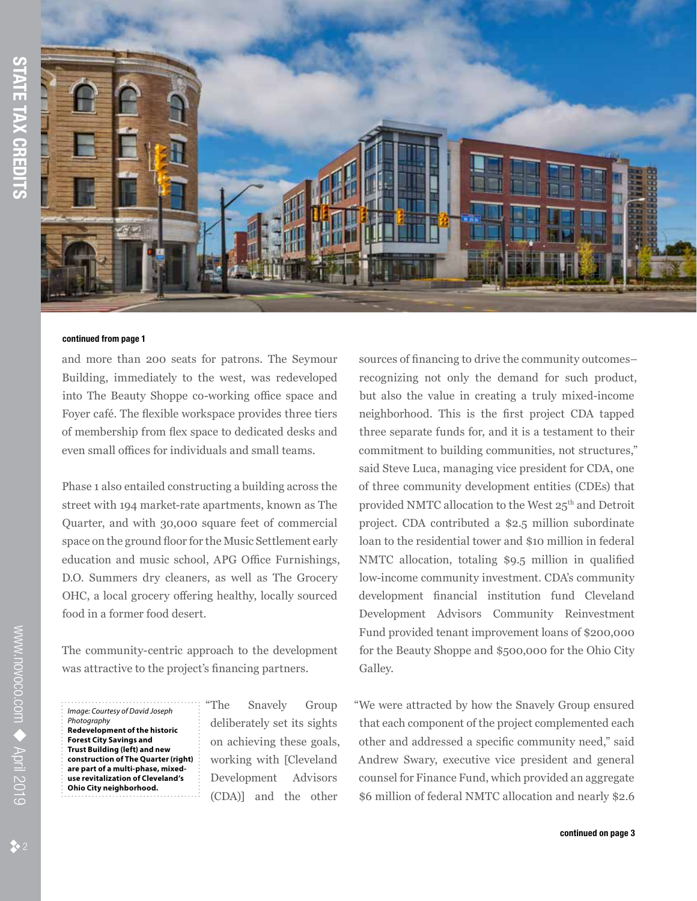

and more than 200 seats for patrons. The Seymour Building, immediately to the west, was redeveloped into The Beauty Shoppe co-working office space and Foyer café. The flexible workspace provides three tiers of membership from flex space to dedicated desks and even small offices for individuals and small teams.

Phase 1 also entailed constructing a building across the street with 194 market-rate apartments, known as The Quarter, and with 30,000 square feet of commercial space on the ground floor for the Music Settlement early education and music school, APG Office Furnishings, D.O. Summers dry cleaners, as well as The Grocery OHC, a local grocery offering healthy, locally sourced food in a former food desert.

The community-centric approach to the development was attractive to the project's financing partners.

*Image: Courtesy of David Joseph Photography* **Redevelopment of the historic Forest City Savings and Trust Building (left) and new construction of The Quarter (right) are part of a multi-phase, mixeduse revitalization of Cleveland's Ohio City neighborhood.**

"The Snavely Group deliberately set its sights on achieving these goals, working with [Cleveland Development Advisors (CDA)] and the other

sources of financing to drive the community outcomes– recognizing not only the demand for such product, but also the value in creating a truly mixed-income neighborhood. This is the first project CDA tapped three separate funds for, and it is a testament to their commitment to building communities, not structures," said Steve Luca, managing vice president for CDA, one of three community development entities (CDEs) that provided NMTC allocation to the West 25<sup>th</sup> and Detroit project. CDA contributed a \$2.5 million subordinate loan to the residential tower and \$10 million in federal NMTC allocation, totaling \$9.5 million in qualified low-income community investment. CDA's community development financial institution fund Cleveland Development Advisors Community Reinvestment Fund provided tenant improvement loans of \$200,000 for the Beauty Shoppe and \$500,000 for the Ohio City Galley.

"We were attracted by how the Snavely Group ensured that each component of the project complemented each other and addressed a specific community need," said Andrew Swary, executive vice president and general counsel for Finance Fund, which provided an aggregate \$6 million of federal NMTC allocation and nearly \$2.6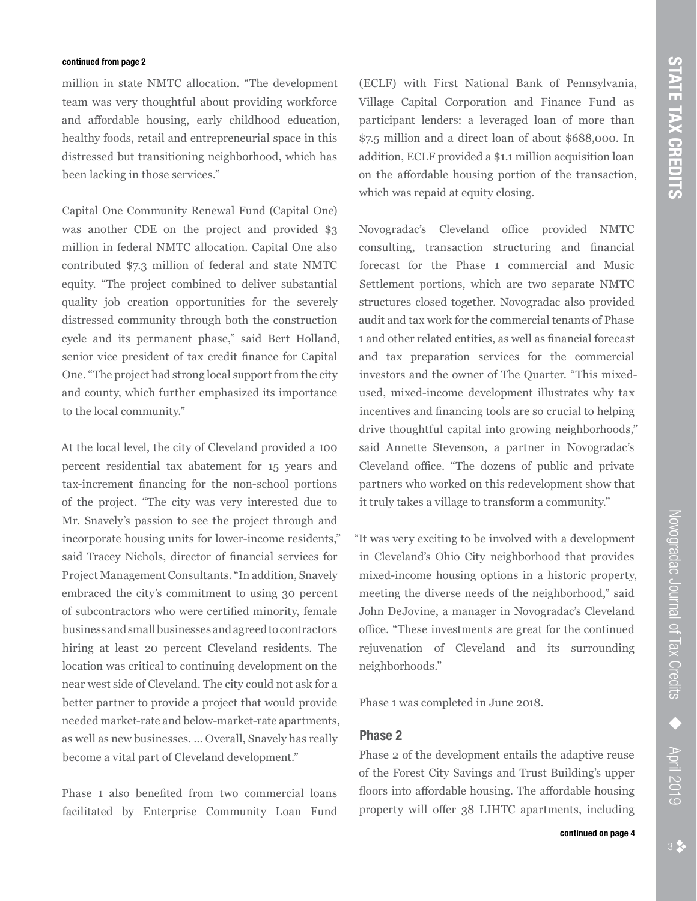million in state NMTC allocation. "The development team was very thoughtful about providing workforce and affordable housing, early childhood education, healthy foods, retail and entrepreneurial space in this distressed but transitioning neighborhood, which has been lacking in those services."

Capital One Community Renewal Fund (Capital One) was another CDE on the project and provided \$3 million in federal NMTC allocation. Capital One also contributed \$7.3 million of federal and state NMTC equity. "The project combined to deliver substantial quality job creation opportunities for the severely distressed community through both the construction cycle and its permanent phase," said Bert Holland, senior vice president of tax credit finance for Capital One. "The project had strong local support from the city and county, which further emphasized its importance to the local community."

At the local level, the city of Cleveland provided a 100 percent residential tax abatement for 15 years and tax-increment financing for the non-school portions of the project. "The city was very interested due to Mr. Snavely's passion to see the project through and incorporate housing units for lower-income residents," said Tracey Nichols, director of financial services for Project Management Consultants. "In addition, Snavely embraced the city's commitment to using 30 percent of subcontractors who were certified minority, female business and small businesses and agreed to contractors hiring at least 20 percent Cleveland residents. The location was critical to continuing development on the near west side of Cleveland. The city could not ask for a better partner to provide a project that would provide needed market-rate and below-market-rate apartments, as well as new businesses. … Overall, Snavely has really become a vital part of Cleveland development."

Phase 1 also benefited from two commercial loans facilitated by Enterprise Community Loan Fund (ECLF) with First National Bank of Pennsylvania, Village Capital Corporation and Finance Fund as participant lenders: a leveraged loan of more than \$7.5 million and a direct loan of about \$688,000. In addition, ECLF provided a \$1.1 million acquisition loan on the affordable housing portion of the transaction, which was repaid at equity closing.

Novogradac's Cleveland office provided NMTC consulting, transaction structuring and financial forecast for the Phase 1 commercial and Music Settlement portions, which are two separate NMTC structures closed together. Novogradac also provided audit and tax work for the commercial tenants of Phase 1 and other related entities, as well as financial forecast and tax preparation services for the commercial investors and the owner of The Quarter. "This mixedused, mixed-income development illustrates why tax incentives and financing tools are so crucial to helping drive thoughtful capital into growing neighborhoods," said Annette Stevenson, a partner in Novogradac's Cleveland office. "The dozens of public and private partners who worked on this redevelopment show that it truly takes a village to transform a community."

"It was very exciting to be involved with a development in Cleveland's Ohio City neighborhood that provides mixed-income housing options in a historic property, meeting the diverse needs of the neighborhood," said John DeJovine, a manager in Novogradac's Cleveland office. "These investments are great for the continued rejuvenation of Cleveland and its surrounding neighborhoods."

Phase 1 was completed in June 2018.

## **Phase 2**

Phase 2 of the development entails the adaptive reuse of the Forest City Savings and Trust Building's upper floors into affordable housing. The affordable housing property will offer 38 LIHTC apartments, including April 2019

Novogradac Journal of Tax Credits

Novogradac Journal of Tax Credits → April 2019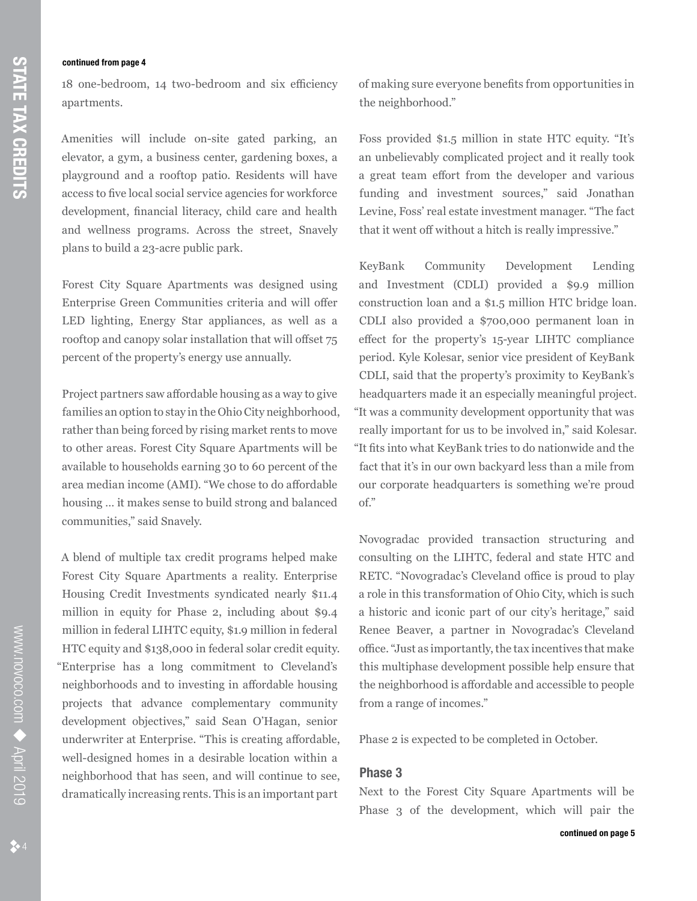18 one-bedroom, 14 two-bedroom and six efficiency apartments.

Amenities will include on-site gated parking, an elevator, a gym, a business center, gardening boxes, a playground and a rooftop patio. Residents will have access to five local social service agencies for workforce development, financial literacy, child care and health and wellness programs. Across the street, Snavely plans to build a 23-acre public park.

Forest City Square Apartments was designed using Enterprise Green Communities criteria and will offer LED lighting, Energy Star appliances, as well as a rooftop and canopy solar installation that will offset 75 percent of the property's energy use annually.

Project partners saw affordable housing as a way to give families an option to stay in the Ohio City neighborhood, rather than being forced by rising market rents to move to other areas. Forest City Square Apartments will be available to households earning 30 to 60 percent of the area median income (AMI). "We chose to do affordable housing … it makes sense to build strong and balanced communities," said Snavely.

A blend of multiple tax credit programs helped make Forest City Square Apartments a reality. Enterprise Housing Credit Investments syndicated nearly \$11.4 million in equity for Phase 2, including about \$9.4 million in federal LIHTC equity, \$1.9 million in federal HTC equity and \$138,000 in federal solar credit equity. "Enterprise has a long commitment to Cleveland's neighborhoods and to investing in affordable housing projects that advance complementary community development objectives," said Sean O'Hagan, senior underwriter at Enterprise. "This is creating affordable, well-designed homes in a desirable location within a neighborhood that has seen, and will continue to see, dramatically increasing rents. This is an important part

of making sure everyone benefits from opportunities in the neighborhood."

Foss provided \$1.5 million in state HTC equity. "It's an unbelievably complicated project and it really took a great team effort from the developer and various funding and investment sources," said Jonathan Levine, Foss' real estate investment manager. "The fact that it went off without a hitch is really impressive."

KeyBank Community Development Lending and Investment (CDLI) provided a \$9.9 million construction loan and a \$1.5 million HTC bridge loan. CDLI also provided a \$700,000 permanent loan in effect for the property's 15-year LIHTC compliance period. Kyle Kolesar, senior vice president of KeyBank CDLI, said that the property's proximity to KeyBank's headquarters made it an especially meaningful project. "It was a community development opportunity that was really important for us to be involved in," said Kolesar. "It fits into what KeyBank tries to do nationwide and the fact that it's in our own backyard less than a mile from our corporate headquarters is something we're proud of."

Novogradac provided transaction structuring and consulting on the LIHTC, federal and state HTC and RETC. "Novogradac's Cleveland office is proud to play a role in this transformation of Ohio City, which is such a historic and iconic part of our city's heritage," said Renee Beaver, a partner in Novogradac's Cleveland office. "Just as importantly, the tax incentives that make this multiphase development possible help ensure that the neighborhood is affordable and accessible to people from a range of incomes."

Phase 2 is expected to be completed in October.

## **Phase 3**

Next to the Forest City Square Apartments will be Phase 3 of the development, which will pair the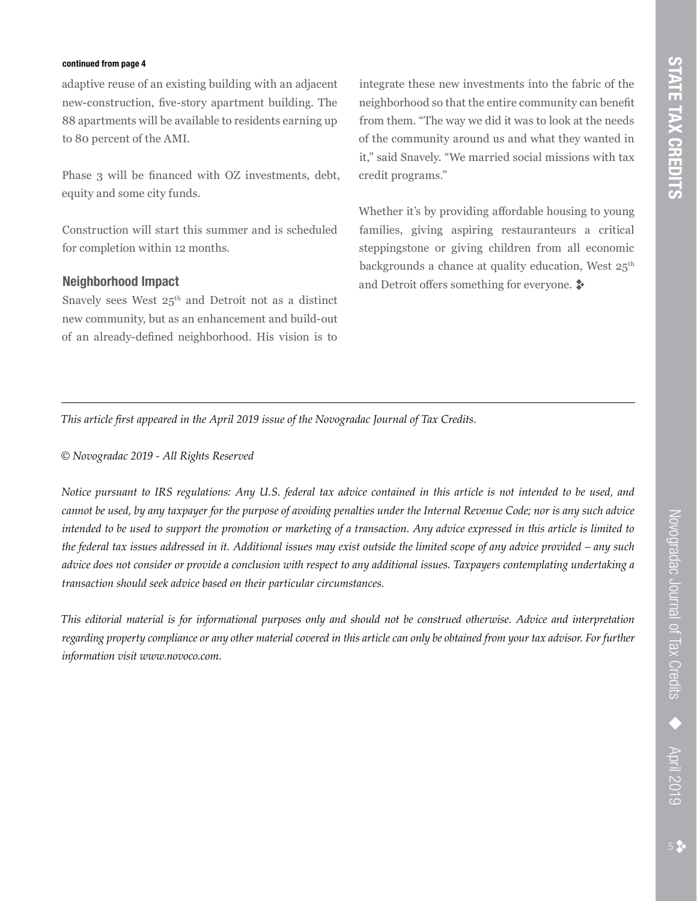adaptive reuse of an existing building with an adjacent new-construction, five-story apartment building. The 88 apartments will be available to residents earning up to 80 percent of the AMI.

Phase 3 will be financed with OZ investments, debt, equity and some city funds.

Construction will start this summer and is scheduled for completion within 12 months.

## **Neighborhood Impact**

Snavely sees West 25<sup>th</sup> and Detroit not as a distinct new community, but as an enhancement and build-out of an already-defined neighborhood. His vision is to

integrate these new investments into the fabric of the neighborhood so that the entire community can benefit from them. "The way we did it was to look at the needs of the community around us and what they wanted in it," said Snavely. "We married social missions with tax credit programs."

Whether it's by providing affordable housing to young families, giving aspiring restauranteurs a critical steppingstone or giving children from all economic backgrounds a chance at quality education, West  $25^{\text{th}}$ and Detroit offers something for everyone.  $\ddot{\bullet}$ 

*This article first appeared in the April 2019 issue of the Novogradac Journal of Tax Credits.* 

*© Novogradac 2019 - All Rights Reserved*

*Notice pursuant to IRS regulations: Any U.S. federal tax advice contained in this article is not intended to be used, and cannot be used, by any taxpayer for the purpose of avoiding penalties under the Internal Revenue Code; nor is any such advice intended to be used to support the promotion or marketing of a transaction. Any advice expressed in this article is limited to the federal tax issues addressed in it. Additional issues may exist outside the limited scope of any advice provided – any such advice does not consider or provide a conclusion with respect to any additional issues. Taxpayers contemplating undertaking a transaction should seek advice based on their particular circumstances.* 

*This editorial material is for informational purposes only and should not be construed otherwise. Advice and interpretation regarding property compliance or any other material covered in this article can only be obtained from your tax advisor. For further information visit www.novoco.com.*